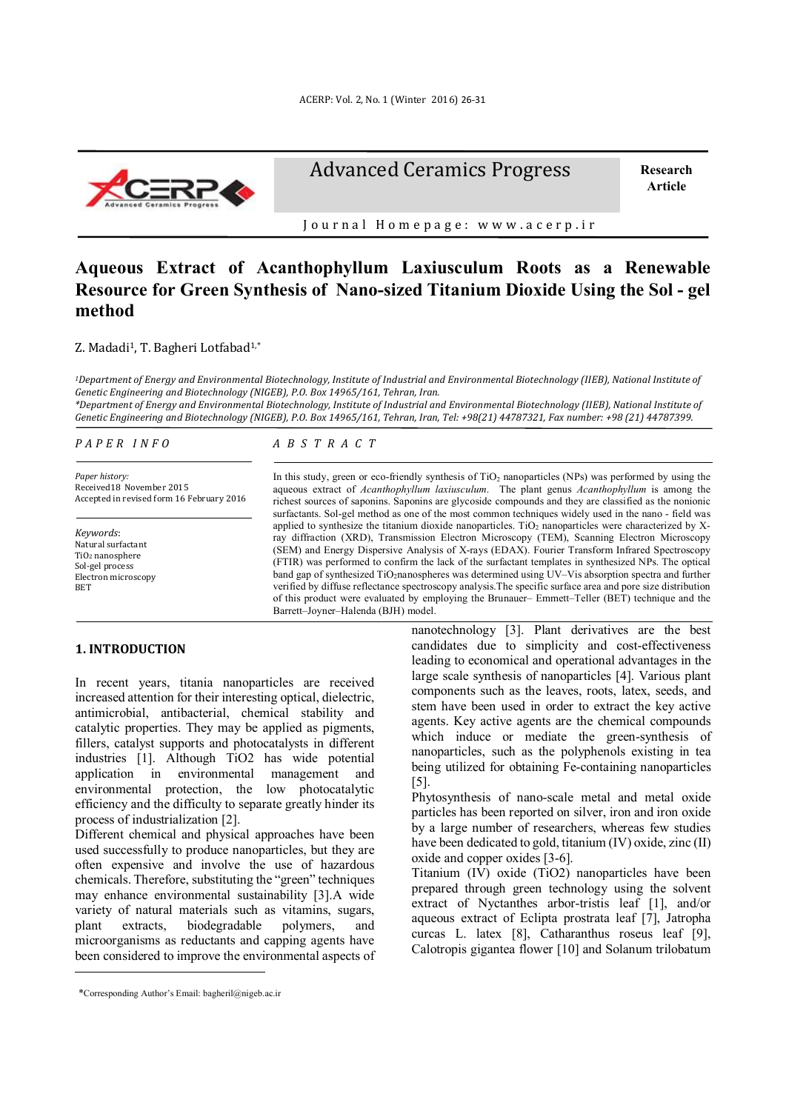

Advanced Ceramics Progress

 **Research Article** 

Journal Homepage: www.acerp.ir

# **Aqueous Extract of Acanthophyllum Laxiusculum Roots as a Renewable Resource for Green Synthesis of Nano-sized Titanium Dioxide Using the Sol - gel method**

# Z. Madadi<sup>1</sup>, T. Bagheri Lotfabad<sup>1,\*</sup>

*1Department of Energy and Environmental Biotechnology, Institute of Industrial and Environmental Biotechnology (IIEB), National Institute of Genetic Engineering and Biotechnology (NIGEB), P.O. Box 14965/161, Tehran, Iran.* 

*\*Department of Energy and Environmental Biotechnology, Institute of Industrial and Environmental Biotechnology (IIEB), National Institute of Genetic Engineering and Biotechnology (NIGEB), P.O. Box 14965/161, Tehran, Iran, Tel: +98(21) 44787321, Fax number: +98 (21) 44787399.* 

*P A P E R I N F O*

*Paper history:*  Received18 November 2015 Accepted in revised form 16 February 2016

*Keywords*: Natural surfactant TiO2 nanosphere Sol-gel process Electron microscopy **BET** 

#### *A B S T R A C T*

In this study, green or eco-friendly synthesis of TiO<sub>2</sub> nanoparticles (NPs) was performed by using the aqueous extract of *Acanthophyllum laxiusculum*. The plant genus *Acanthophyllum* is among the richest sources of saponins. Saponins are glycoside compounds and they are classified as the nonionic surfactants. Sol-gel method as one of the most common techniques widely used in the nano - field was applied to synthesize the titanium dioxide nanoparticles. TiO<sub>2</sub> nanoparticles were characterized by Xray diffraction (XRD), Transmission Electron Microscopy (TEM), Scanning Electron Microscopy (SEM) and Energy Dispersive Analysis of X-rays (EDAX). Fourier Transform Infrared Spectroscopy (FTIR) was performed to confirm the lack of the surfactant templates in synthesized NPs. The optical band gap of synthesized TiO<sub>2</sub>nanospheres was determined using UV–Vis absorption spectra and further verified by diffuse reflectance spectroscopy analysis.The specific surface area and pore size distribution of this product were evaluated by employing the Brunauer– Emmett–Teller (BET) technique and the Barrett–Joyner–Halenda (BJH) model.

# **1. INTRODUCTION<sup>1</sup>**

In recent years, titania nanoparticles are received increased attention for their interesting optical, dielectric, antimicrobial, antibacterial, chemical stability and catalytic properties. They may be applied as pigments, fillers, catalyst supports and photocatalysts in different industries [1]. Although TiO2 has wide potential application in environmental management and environmental protection, the low photocatalytic efficiency and the difficulty to separate greatly hinder its process of industrialization [2].

Different chemical and physical approaches have been used successfully to produce nanoparticles, but they are often expensive and involve the use of hazardous chemicals. Therefore, substituting the "green" techniques may enhance environmental sustainability [3].A wide variety of natural materials such as vitamins, sugars, plant extracts, biodegradable polymers, and microorganisms as reductants and capping agents have been considered to improve the environmental aspects of

 $\overline{a}$ 

nanotechnology [3]. Plant derivatives are the best candidates due to simplicity and cost-effectiveness leading to economical and operational advantages in the large scale synthesis of nanoparticles [4]. Various plant components such as the leaves, roots, latex, seeds, and stem have been used in order to extract the key active agents. Key active agents are the chemical compounds which induce or mediate the green-synthesis of nanoparticles, such as the polyphenols existing in tea being utilized for obtaining Fe-containing nanoparticles [5].

Phytosynthesis of nano-scale metal and metal oxide particles has been reported on silver, iron and iron oxide by a large number of researchers, whereas few studies have been dedicated to gold, titanium (IV) oxide, zinc (II) oxide and copper oxides [3-6].

Titanium (IV) oxide (TiO2) nanoparticles have been prepared through green technology using the solvent extract of Nyctanthes arbor-tristis leaf [1], and/or aqueous extract of Eclipta prostrata leaf [7], Jatropha curcas L. latex [8], Catharanthus roseus leaf [9], Calotropis gigantea flower [10] and Solanum trilobatum

<sup>1\*</sup>Corresponding Author's Email: bagheril@nigeb.ac.ir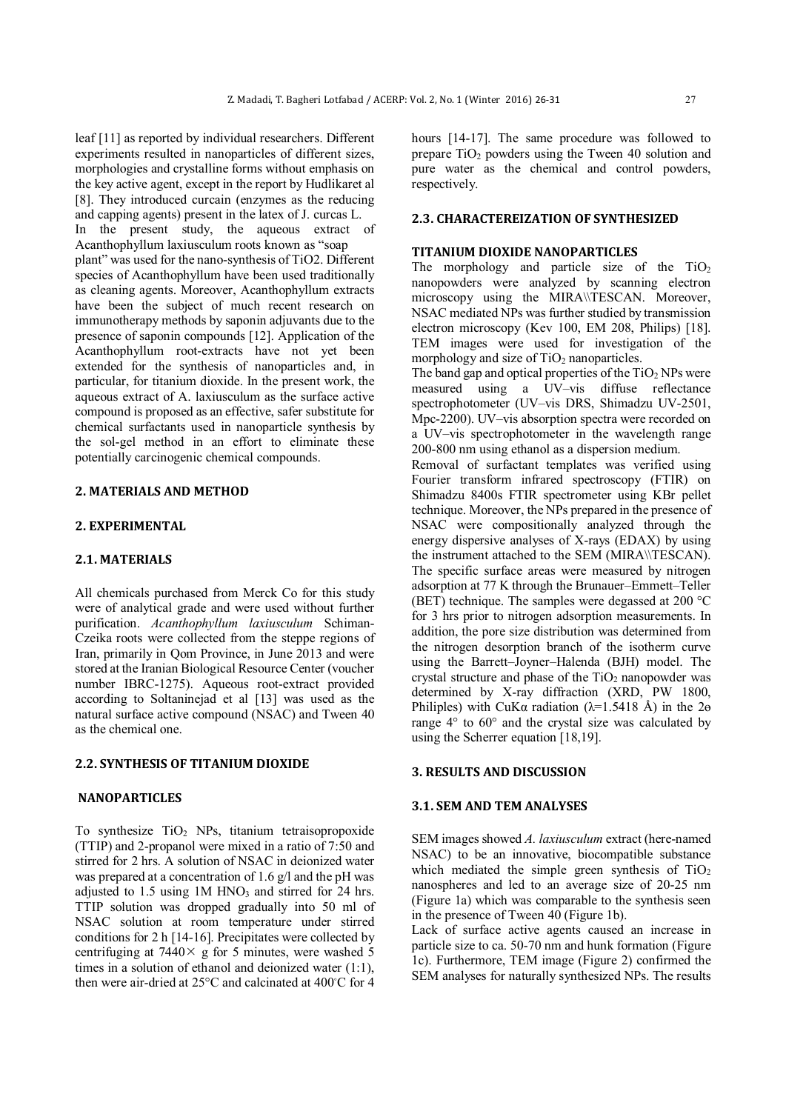leaf [11] as reported by individual researchers. Different experiments resulted in nanoparticles of different sizes, morphologies and crystalline forms without emphasis on the key active agent, except in the report by Hudlikaret al [8]. They introduced curcain (enzymes as the reducing and capping agents) present in the latex of J. curcas L. In the present study, the aqueous extract of Acanthophyllum laxiusculum roots known as "soap plant" was used for the nano-synthesis of TiO2. Different species of Acanthophyllum have been used traditionally as cleaning agents. Moreover, Acanthophyllum extracts have been the subject of much recent research on immunotherapy methods by saponin adjuvants due to the presence of saponin compounds [12]. Application of the Acanthophyllum root-extracts have not yet been extended for the synthesis of nanoparticles and, in particular, for titanium dioxide. In the present work, the aqueous extract of A. laxiusculum as the surface active compound is proposed as an effective, safer substitute for chemical surfactants used in nanoparticle synthesis by the sol-gel method in an effort to eliminate these potentially carcinogenic chemical compounds.

# **2. MATERIALS AND METHOD**

# **2. EXPERIMENTAL**

# **2.1. MATERIALS**

All chemicals purchased from Merck Co for this study were of analytical grade and were used without further purification. *Acanthophyllum laxiusculum* Schiman-Czeika roots were collected from the steppe regions of Iran, primarily in Qom Province, in June 2013 and were stored at the Iranian Biological Resource Center (voucher number IBRC-1275). Aqueous root-extract provided according to Soltaninejad et al [13] was used as the natural surface active compound (NSAC) and Tween 40 as the chemical one.

# **2.2. SYNTHESIS OF TITANIUM DIOXIDE**

# **NANOPARTICLES**

To synthesize  $TiO<sub>2</sub>$  NPs, titanium tetraisopropoxide (TTIP) and 2-propanol were mixed in a ratio of 7:50 and stirred for 2 hrs. A solution of NSAC in deionized water was prepared at a concentration of 1.6 g/l and the pH was adjusted to  $1.5$  using  $1M HNO<sub>3</sub>$  and stirred for 24 hrs. TTIP solution was dropped gradually into 50 ml of NSAC solution at room temperature under stirred conditions for 2 h [14-16]. Precipitates were collected by centrifuging at  $7440 \times g$  for 5 minutes, were washed 5 times in a solution of ethanol and deionized water (1:1), then were air-dried at 25°C and calcinated at 400◦ C for 4 hours [14-17]. The same procedure was followed to prepare  $TiO<sub>2</sub>$  powders using the Tween 40 solution and pure water as the chemical and control powders, respectively.

# **2.3. CHARACTEREIZATION OF SYNTHESIZED**

#### **TITANIUM DIOXIDE NANOPARTICLES**

The morphology and particle size of the  $TiO<sub>2</sub>$ nanopowders were analyzed by scanning electron microscopy using the MIRA\\TESCAN. Moreover, NSAC mediated NPs was further studied by transmission electron microscopy (Kev 100, EM 208, Philips) [18]. TEM images were used for investigation of the morphology and size of  $TiO<sub>2</sub>$  nanoparticles.

The band gap and optical properties of the  $TiO<sub>2</sub>$  NPs were measured using a UV–vis diffuse reflectance spectrophotometer (UV–vis DRS, Shimadzu UV-2501, Mpc-2200). UV–vis absorption spectra were recorded on a UV–vis spectrophotometer in the wavelength range 200-800 nm using ethanol as a dispersion medium.

Removal of surfactant templates was verified using Fourier transform infrared spectroscopy (FTIR) on Shimadzu 8400s FTIR spectrometer using KBr pellet technique. Moreover, the NPs prepared in the presence of NSAC were compositionally analyzed through the energy dispersive analyses of X-rays (EDAX) by using the instrument attached to the SEM (MIRA\\TESCAN). The specific surface areas were measured by nitrogen adsorption at 77 K through the Brunauer–Emmett–Teller (BET) technique. The samples were degassed at 200 °C for 3 hrs prior to nitrogen adsorption measurements. In addition, the pore size distribution was determined from the nitrogen desorption branch of the isotherm curve using the Barrett–Joyner–Halenda (BJH) model. The crystal structure and phase of the  $TiO<sub>2</sub>$  nanopowder was determined by X-ray diffraction (XRD, PW 1800, Philiples) with CuK $\alpha$  radiation ( $\lambda$ =1.5418 Å) in the 2 $\theta$ range 4° to 60° and the crystal size was calculated by using the Scherrer equation [18,19].

# **3. RESULTS AND DISCUSSION**

## **3.1. SEM AND TEM ANALYSES**

SEM images showed *A. laxiusculum* extract (here-named NSAC) to be an innovative, biocompatible substance which mediated the simple green synthesis of  $TiO<sub>2</sub>$ nanospheres and led to an average size of 20-25 nm (Figure 1a) which was comparable to the synthesis seen in the presence of Tween 40 (Figure 1b).

Lack of surface active agents caused an increase in particle size to ca. 50-70 nm and hunk formation (Figure 1c). Furthermore, TEM image (Figure 2) confirmed the SEM analyses for naturally synthesized NPs. The results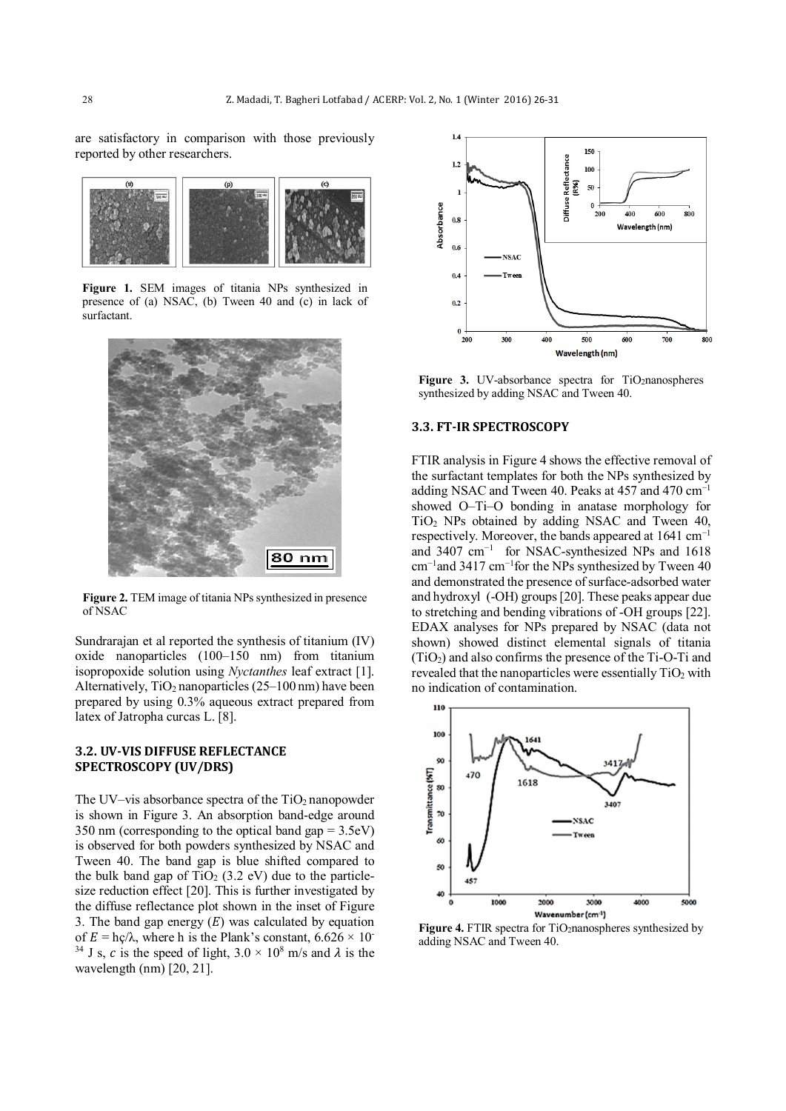are satisfactory in comparison with those previously reported by other researchers.



**Figure 1.** SEM images of titania NPs synthesized in presence of (a) NSAC, (b) Tween 40 and (c) in lack of surfactant.



**Figure 2.** TEM image of titania NPs synthesized in presence of NSAC

Sundrarajan et al reported the synthesis of titanium (IV) oxide nanoparticles (100–150 nm) from titanium isopropoxide solution using *Nyctanthes* leaf extract [1]. Alternatively,  $TiO<sub>2</sub>$  nanoparticles (25–100 nm) have been prepared by using 0.3% aqueous extract prepared from latex of Jatropha curcas L. [8].

# **3.2. UV-VIS DIFFUSE REFLECTANCE SPECTROSCOPY (UV/DRS)**

The UV–vis absorbance spectra of the  $TiO<sub>2</sub>$  nanopowder is shown in Figure 3. An absorption band-edge around 350 nm (corresponding to the optical band gap = 3.5eV) is observed for both powders synthesized by NSAC and Tween 40. The band gap is blue shifted compared to the bulk band gap of  $TiO<sub>2</sub>$  (3.2 eV) due to the particlesize reduction effect [20]. This is further investigated by the diffuse reflectance plot shown in the inset of Figure 3. The band gap energy  $(E)$  was calculated by equation of  $E = \frac{hc}{\lambda}$ , where h is the Plank's constant,  $6.626 \times 10^{-7}$ <sup>34</sup> J s, c is the speed of light,  $3.0 \times 10^8$  m/s and  $\lambda$  is the wavelength (nm) [20, 21].



Figure 3. UV-absorbance spectra for TiO<sub>2</sub>nanospheres synthesized by adding NSAC and Tween 40.

# **3.3. FT-IR SPECTROSCOPY**

FTIR analysis in Figure 4 shows the effective removal of the surfactant templates for both the NPs synthesized by adding NSAC and Tween 40. Peaks at 457 and 470  $cm^{-1}$ showed O–Ti–O bonding in anatase morphology for TiO2 NPs obtained by adding NSAC and Tween 40, respectively. Moreover, the bands appeared at 1641 cm−1 and 3407 cm−1 for NSAC-synthesized NPs and 1618 cm−1and 3417 cm−1for the NPs synthesized by Tween 40 and demonstrated the presence of surface-adsorbed water and hydroxyl (-OH) groups [20]. These peaks appear due to stretching and bending vibrations of -OH groups [22]. EDAX analyses for NPs prepared by NSAC (data not shown) showed distinct elemental signals of titania  $(TiO<sub>2</sub>)$  and also confirms the presence of the Ti-O-Ti and revealed that the nanoparticles were essentially  $TiO<sub>2</sub>$  with no indication of contamination.



**Figure 4.** FTIR spectra for TiO2nanospheres synthesized by adding NSAC and Tween 40.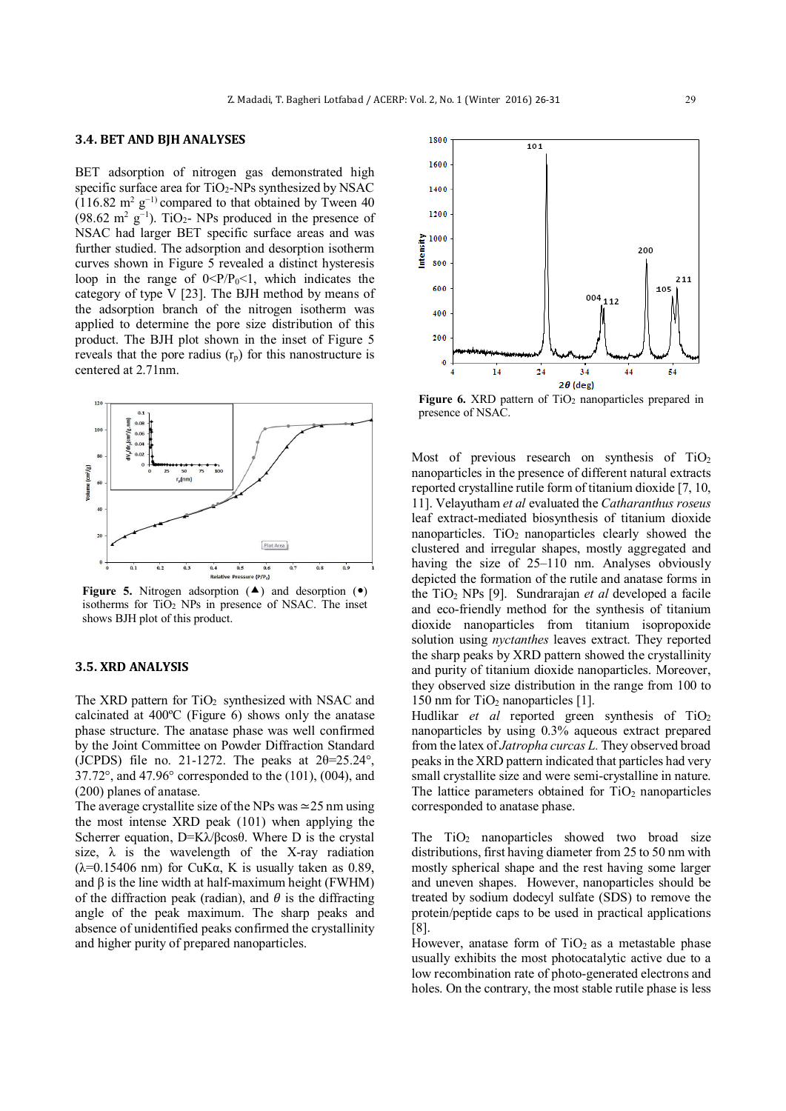#### **3.4. BET AND BJH ANALYSES**

BET adsorption of nitrogen gas demonstrated high specific surface area for  $TiO<sub>2</sub>$ -NPs synthesized by NSAC  $(116.82 \text{ m}^2 \text{ g}^{-1})$  compared to that obtained by Tween 40  $(98.62 \text{ m}^2 \text{ g}^{-1})$ . TiO<sub>2</sub>- NPs produced in the presence of NSAC had larger BET specific surface areas and was further studied. The adsorption and desorption isotherm curves shown in Figure 5 revealed a distinct hysteresis loop in the range of  $0 < P/P_0 < 1$ , which indicates the category of type V [23]. The BJH method by means of the adsorption branch of the nitrogen isotherm was applied to determine the pore size distribution of this product. The BJH plot shown in the inset of Figure 5 reveals that the pore radius  $(r_p)$  for this nanostructure is centered at 2.71nm.



**Figure** 5. Nitrogen adsorption  $(A)$  and desorption  $(0)$ isotherms for TiO2 NPs in presence of NSAC. The inset shows BJH plot of this product.

#### **3.5. XRD ANALYSIS**

The XRD pattern for  $TiO<sub>2</sub>$  synthesized with NSAC and calcinated at 400ºC (Figure 6) shows only the anatase phase structure. The anatase phase was well confirmed by the Joint Committee on Powder Diffraction Standard (JCPDS) file no. 21-1272. The peaks at  $2\theta = 25.24^{\circ}$ , 37.72°, and 47.96° corresponded to the (101), (004), and (200) planes of anatase.

The average crystallite size of the NPs was ≃25 nm using the most intense XRD peak (101) when applying the Scherrer equation, D=Kλ/βcosθ. Where D is the crystal size,  $\lambda$  is the wavelength of the X-ray radiation ( $λ=0.15406$  nm) for CuKα, K is usually taken as 0.89, and  $\beta$  is the line width at half-maximum height (FWHM) of the diffraction peak (radian), and  $\theta$  is the diffracting angle of the peak maximum. The sharp peaks and absence of unidentified peaks confirmed the crystallinity and higher purity of prepared nanoparticles.



**Figure 6.** XRD pattern of TiO<sub>2</sub> nanoparticles prepared in presence of NSAC.

Most of previous research on synthesis of  $TiO<sub>2</sub>$ nanoparticles in the presence of different natural extracts reported crystalline rutile form of titanium dioxide [7, 10, 11]. Velayutham *et al* evaluated the *Catharanthus roseus* leaf extract-mediated biosynthesis of titanium dioxide nanoparticles.  $TiO<sub>2</sub>$  nanoparticles clearly showed the clustered and irregular shapes, mostly aggregated and having the size of 25–110 nm. Analyses obviously depicted the formation of the rutile and anatase forms in the TiO2 NPs [9]. Sundrarajan *et al* developed a facile and eco-friendly method for the synthesis of titanium dioxide nanoparticles from titanium isopropoxide solution using *nyctanthes* leaves extract. They reported the sharp peaks by XRD pattern showed the crystallinity and purity of titanium dioxide nanoparticles. Moreover, they observed size distribution in the range from 100 to 150 nm for  $TiO<sub>2</sub>$  nanoparticles [1].

Hudlikar *et al* reported green synthesis of  $TiO<sub>2</sub>$ nanoparticles by using 0.3% aqueous extract prepared from the latex of *Jatropha curcas L.* They observed broad peaks in the XRD pattern indicated that particles had very small crystallite size and were semi-crystalline in nature. The lattice parameters obtained for  $TiO<sub>2</sub>$  nanoparticles corresponded to anatase phase.

The  $TiO<sub>2</sub>$  nanoparticles showed two broad size distributions, first having diameter from 25 to 50 nm with mostly spherical shape and the rest having some larger and uneven shapes. However, nanoparticles should be treated by sodium dodecyl sulfate (SDS) to remove the protein/peptide caps to be used in practical applications [8].

However, anatase form of  $TiO<sub>2</sub>$  as a metastable phase usually exhibits the most photocatalytic active due to a low recombination rate of photo-generated electrons and holes. On the contrary, the most stable rutile phase is less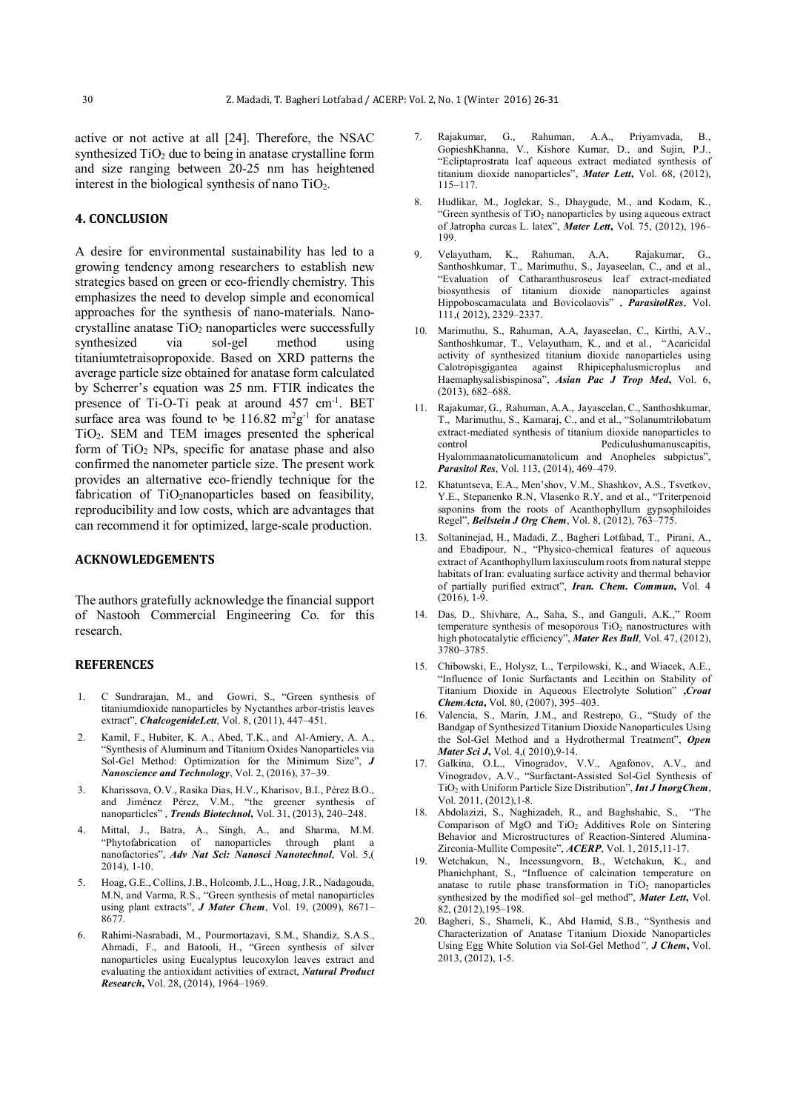active or not active at all [24]. Therefore, the NSAC synthesized  $TiO<sub>2</sub>$  due to being in anatase crystalline form and size ranging between 20-25 nm has heightened interest in the biological synthesis of nano  $TiO<sub>2</sub>$ .

# **4. CONCLUSION**

A desire for environmental sustainability has led to a growing tendency among researchers to establish new strategies based on green or eco-friendly chemistry. This emphasizes the need to develop simple and economical approaches for the synthesis of nano-materials. Nanocrystalline anatase  $TiO<sub>2</sub>$  nanoparticles were successfully synthesized via sol-gel method using titaniumtetraisopropoxide. Based on XRD patterns the average particle size obtained for anatase form calculated by Scherrer's equation was 25 nm. FTIR indicates the presence of Ti-O-Ti peak at around 457 cm-1. BET surface area was found to be  $116.82 \text{ m}^2 \text{g}^{-1}$  for anatase TiO2. SEM and TEM images presented the spherical form of  $TiO<sub>2</sub>$  NPs, specific for anatase phase and also confirmed the nanometer particle size. The present work provides an alternative eco-friendly technique for the fabrication of TiO<sub>2</sub>nanoparticles based on feasibility, reproducibility and low costs, which are advantages that can recommend it for optimized, large-scale production.

# **ACKNOWLEDGEMENTS**

The authors gratefully acknowledge the financial support of Nastooh Commercial Engineering Co. for this research.

#### **REFERENCES**

- 1. C Sundrarajan, M., and Gowri, S., "Green synthesis of titaniumdioxide nanoparticles by Nyctanthes arbor-tristis leaves extract", *ChalcogenideLett*, Vol. 8, (2011), 447–451.
- 2. Kamil, F., Hubiter, K. A., Abed, T.K., and Al-Amiery, A. A., "Synthesis of Aluminum and Titanium Oxides Nanoparticles via Sol-Gel Method: Optimization for the Minimum Size", *J Nanoscience and Technology*, Vol. 2, (2016), 37–39.
- 3. Kharissova, O.V., Rasika Dias, H.V., Kharisov, B.I., Pérez B.O., and Jiménez Pérez, V.M., "the greener synthesis of nanoparticles" , *Trends Biotechnol***,** Vol. 31, (2013), 240–248.
- 4. Mittal, J., Batra, A., Singh, A., and Sharma, M.M. "Phytofabrication of nanoparticles through plant a nanofactories", *Adv Nat Sci: Nanosci Nanotechnol*, Vol. 5,( 2014), 1-10.
- 5. Hoag, G.E., Collins, J.B., Holcomb, J.L., Hoag, J.R., Nadagouda, M.N, and Varma, R.S., "Green synthesis of metal nanoparticles using plant extracts", *J Mater Chem*, Vol. 19, (2009), 8671– 8677.
- 6. Rahimi-Nasrabadi, M., Pourmortazavi, S.M., Shandiz, S.A.S., Ahmadi, F., and Batooli, H., "Green synthesis of silver nanoparticles using Eucalyptus leucoxylon leaves extract and evaluating the antioxidant activities of extract, *Natural Product Research***,** Vol. 28, (2014), 1964–1969.
- 7. Rajakumar, G., Rahuman, A.A., Priyamvada, B., GopieshKhanna, V., Kishore Kumar, D., and Sujin, P.J., "Ecliptaprostrata leaf aqueous extract mediated synthesis of titanium dioxide nanoparticles", *Mater Lett***,** Vol. 68, (2012), 115–117.
- 8. Hudlikar, M., Joglekar, S., Dhaygude, M., and Kodam, K., "Green synthesis of TiO<sub>2</sub> nanoparticles by using aqueous extract of Jatropha curcas L. latex", *Mater Lett***,** Vol. 75, (2012), 196– 199.
- 9. Velayutham, K., Rahuman, A.A, Rajakumar, G., Santhoshkumar, T., Marimuthu, S., Jayaseelan, C., and et al., "Evaluation of Catharanthusroseus leaf extract-mediated biosynthesis of titanium dioxide nanoparticles against Hippoboscamaculata and Bovicolaovis" , *ParasitolRes*, Vol. 111,( 2012), 2329–2337.
- 10. Marimuthu, S., Rahuman, A.A, Jayaseelan, C., Kirthi, A.V., Santhoshkumar, T., Velayutham, K., and et al., "Acaricidal activity of synthesized titanium dioxide nanoparticles using Calotropisgigantea against Rhipicephalusmicroplus and Haemaphysalisbispinosa", *Asian Pac J Trop Med***,** Vol. 6, (2013), 682–688.
- 11. Rajakumar, G., Rahuman, A.A., Jayaseelan, C., Santhoshkumar, T., Marimuthu, S., Kamaraj, C., and et al., "Solanumtrilobatum extract-mediated synthesis of titanium dioxide nanoparticles to Pediculushumanuscapitis, Hyalommaanatolicumanatolicum and Anopheles subpictus", *Parasitol Res*, Vol. 113, (2014), 469–479.
- 12. Khatuntseva, E.A., Men'shov, V.M., Shashkov, A.S., Tsvetkov, Y.E., Stepanenko R.N, Vlasenko R.Y, and et al., "Triterpenoid saponins from the roots of Acanthophyllum gypsophiloides Regel", *Beilstein J Org Chem*, Vol. 8, (2012), 763–775.
- 13. Soltaninejad, H., Madadi, Z., Bagheri Lotfabad, T., Pirani, A., and Ebadipour, N., "Physico-chemical features of aqueous extract of Acanthophyllum laxiusculum roots from natural steppe habitats of Iran: evaluating surface activity and thermal behavior of partially purified extract", *Iran. Chem. Commun***,** Vol. 4 (2016), 1-9.
- 14. Das, D., Shivhare, A., Saha, S., and Ganguli, A.K.," Room temperature synthesis of mesoporous  $TiO<sub>2</sub>$  nanostructures with high photocatalytic efficiency", Mater Res Bull, Vol. 47, (2012), 3780–3785.
- 15. Chibowski, E., Holysz, L., Terpilowski, K., and Wiacek, A.E., "Influence of Ionic Surfactants and Lecithin on Stability of Titanium Dioxide in Aqueous Electrolyte Solution" **,***Croat ChemActa***,** Vol. 80, (2007), 395–403.
- 16. Valencia, S., Marín, J.M., and Restrepo, G., "Study of the Bandgap of Synthesized Titanium Dioxide Nanoparticules Using the Sol-Gel Method and a Hydrothermal Treatment", *Open Mater Sci J***,** Vol. 4,( 2010),9-14.
- 17. Galkina, O.L., Vinogradov, V.V., Agafonov, A.V., and Vinogradov, A.V., "Surfactant-Assisted Sol-Gel Synthesis of TiO2 with Uniform Particle Size Distribution", *Int J InorgChem*, Vol. 2011, (2012),1-8.
- 18. Abdolazizi, S., Naghizadeh, R., and Baghshahic, S., "The Comparison of MgO and TiO<sub>2</sub> Additives Role on Sintering Behavior and Microstructures of Reaction-Sintered Alumina-Zirconia-Mullite Composite", *ACERP*, Vol. 1, 2015,11-17.
- 19. Wetchakun, N., Incessungvorn, B., Wetchakun, K., and Phanichphant, S., "Influence of calcination temperature on anatase to rutile phase transformation in  $TiO<sub>2</sub>$  nanoparticles synthesized by the modified sol–gel method", *Mater Lett***,** Vol. 82, (2012),195–198.
- 20. Bagheri, S., Shameli, K., Abd Hamid, S.B., "Synthesis and Characterization of Anatase Titanium Dioxide Nanoparticles Using Egg White Solution via Sol-Gel Method*", J Chem***,** Vol. 2013, (2012), 1-5.